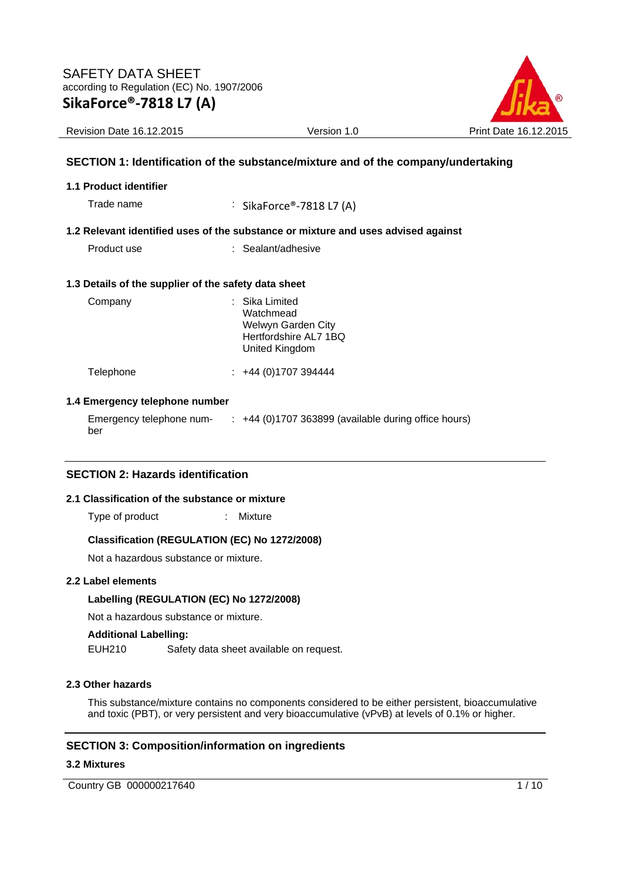

Revision Date 16.12.2015 Version 1.0 Print Date 16.12.2015

# **SECTION 1: Identification of the substance/mixture and of the company/undertaking**

#### **1.1 Product identifier**

Trade name : SikaForce®-7818 L7 (A)

#### **1.2 Relevant identified uses of the substance or mixture and uses advised against**

Product use : Sealant/adhesive

#### **1.3 Details of the supplier of the safety data sheet**

| Company   | : Sika Limited<br>Watchmead<br>Welwyn Garden City<br>Hertfordshire AL7 1BQ<br>United Kingdom |  |
|-----------|----------------------------------------------------------------------------------------------|--|
| Telephone | $\div$ +44 (0)1707 394444                                                                    |  |

#### **1.4 Emergency telephone number**

Emergency telephone number :  $+44$  (0)1707 363899 (available during office hours)

# **SECTION 2: Hazards identification**

#### **2.1 Classification of the substance or mixture**

Type of product : Mixture

#### **Classification (REGULATION (EC) No 1272/2008)**

Not a hazardous substance or mixture.

#### **2.2 Label elements**

#### **Labelling (REGULATION (EC) No 1272/2008)**

Not a hazardous substance or mixture.

# **Additional Labelling:**

EUH210 Safety data sheet available on request.

#### **2.3 Other hazards**

This substance/mixture contains no components considered to be either persistent, bioaccumulative and toxic (PBT), or very persistent and very bioaccumulative (vPvB) at levels of 0.1% or higher.

# **SECTION 3: Composition/information on ingredients**

#### **3.2 Mixtures**

Country GB 000000217640 1/10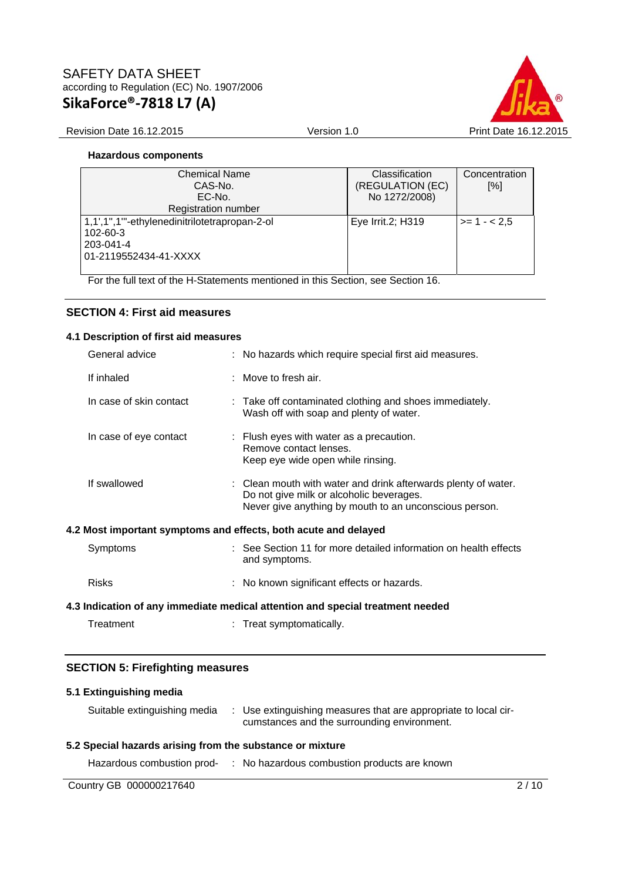

### Revision Date 16.12.2015 Version 1.0 Print Date 16.12.2015

# **Hazardous components**

| <b>Chemical Name</b><br>CAS-No.               | Classification<br>(REGULATION (EC) | Concentration<br>[%] |
|-----------------------------------------------|------------------------------------|----------------------|
| EC-No.                                        | No 1272/2008)                      |                      |
| Registration number                           |                                    |                      |
| 1,1',1",1"'-ethylenedinitrilotetrapropan-2-ol | Eye Irrit.2; H319                  | $>= 1 - 2.5$         |
| 102-60-3                                      |                                    |                      |
| 203-041-4                                     |                                    |                      |
| 01-2119552434-41-XXXX                         |                                    |                      |
|                                               |                                    |                      |

For the full text of the H-Statements mentioned in this Section, see Section 16.

# **SECTION 4: First aid measures**

# **4.1 Description of first aid measures**

|                                                                                | General advice          |  | : No hazards which require special first aid measures.                                                                                                               |
|--------------------------------------------------------------------------------|-------------------------|--|----------------------------------------------------------------------------------------------------------------------------------------------------------------------|
|                                                                                | If inhaled              |  | : Move to fresh air.                                                                                                                                                 |
|                                                                                | In case of skin contact |  | : Take off contaminated clothing and shoes immediately.<br>Wash off with soap and plenty of water.                                                                   |
|                                                                                | In case of eye contact  |  | : Flush eyes with water as a precaution.<br>Remove contact lenses.<br>Keep eye wide open while rinsing.                                                              |
|                                                                                | If swallowed            |  | : Clean mouth with water and drink afterwards plenty of water.<br>Do not give milk or alcoholic beverages.<br>Never give anything by mouth to an unconscious person. |
|                                                                                |                         |  | 4.2 Most important symptoms and effects, both acute and delayed                                                                                                      |
|                                                                                | Symptoms                |  | : See Section 11 for more detailed information on health effects<br>and symptoms.                                                                                    |
|                                                                                | <b>Risks</b>            |  | : No known significant effects or hazards.                                                                                                                           |
| 4.3 Indication of any immediate medical attention and special treatment needed |                         |  |                                                                                                                                                                      |
|                                                                                | Treatment               |  | : Treat symptomatically.                                                                                                                                             |

# **SECTION 5: Firefighting measures**

# **5.1 Extinguishing media**

| Suitable extinguishing media | : Use extinguishing measures that are appropriate to local cir- |
|------------------------------|-----------------------------------------------------------------|
|                              | cumstances and the surrounding environment.                     |
|                              |                                                                 |

# **5.2 Special hazards arising from the substance or mixture**

Hazardous combustion prod- : No hazardous combustion products are known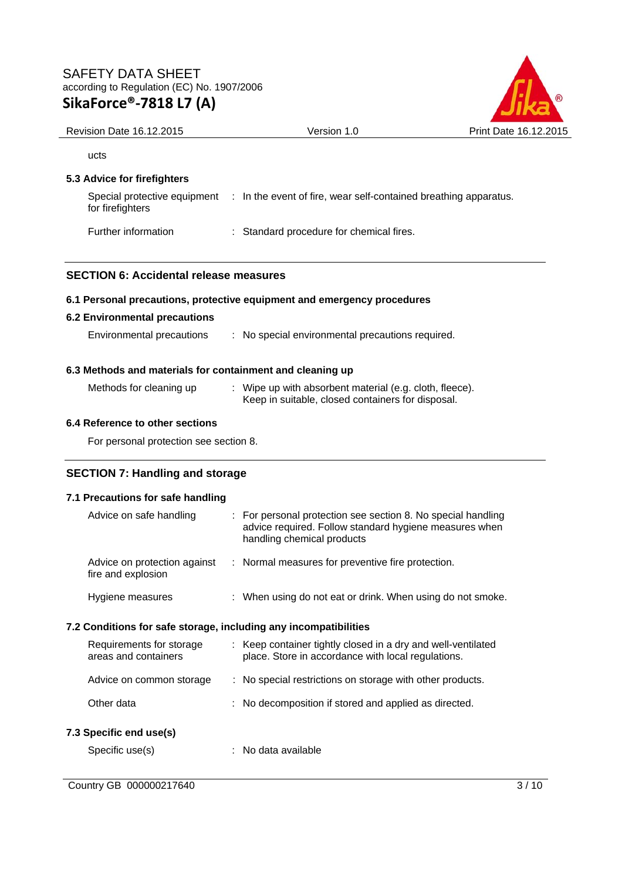

| Revision Date 16.12.2015                                  | Version 1.0                                                                                                                                        | Print Date 16.12.2015 |
|-----------------------------------------------------------|----------------------------------------------------------------------------------------------------------------------------------------------------|-----------------------|
| ucts                                                      |                                                                                                                                                    |                       |
| 5.3 Advice for firefighters                               |                                                                                                                                                    |                       |
| for firefighters                                          | Special protective equipment : In the event of fire, wear self-contained breathing apparatus.                                                      |                       |
| Further information                                       | : Standard procedure for chemical fires.                                                                                                           |                       |
| <b>SECTION 6: Accidental release measures</b>             |                                                                                                                                                    |                       |
|                                                           | 6.1 Personal precautions, protective equipment and emergency procedures                                                                            |                       |
| <b>6.2 Environmental precautions</b>                      |                                                                                                                                                    |                       |
| Environmental precautions                                 | : No special environmental precautions required.                                                                                                   |                       |
| 6.3 Methods and materials for containment and cleaning up |                                                                                                                                                    |                       |
| Methods for cleaning up                                   | : Wipe up with absorbent material (e.g. cloth, fleece).<br>Keep in suitable, closed containers for disposal.                                       |                       |
| 6.4 Reference to other sections                           |                                                                                                                                                    |                       |
| For personal protection see section 8.                    |                                                                                                                                                    |                       |
| <b>SECTION 7: Handling and storage</b>                    |                                                                                                                                                    |                       |
| 7.1 Precautions for safe handling                         |                                                                                                                                                    |                       |
| Advice on safe handling                                   | For personal protection see section 8. No special handling<br>advice required. Follow standard hygiene measures when<br>handling chemical products |                       |

#### Advice on protection against : Normal measures for preventive fire protection. fire and explosion

| Hygiene measures |  | When using do not eat or drink. When using do not smoke. |  |
|------------------|--|----------------------------------------------------------|--|
|------------------|--|----------------------------------------------------------|--|

# **7.2 Conditions for safe storage, including any incompatibilities**

| Requirements for storage<br>areas and containers | : Keep container tightly closed in a dry and well-ventilated<br>place. Store in accordance with local regulations. |
|--------------------------------------------------|--------------------------------------------------------------------------------------------------------------------|
| Advice on common storage                         | : No special restrictions on storage with other products.                                                          |
| Other data                                       | : No decomposition if stored and applied as directed.                                                              |
|                                                  |                                                                                                                    |

# **7.3 Specific end use(s)**

Specific use(s)  $\qquad \qquad$ : No data available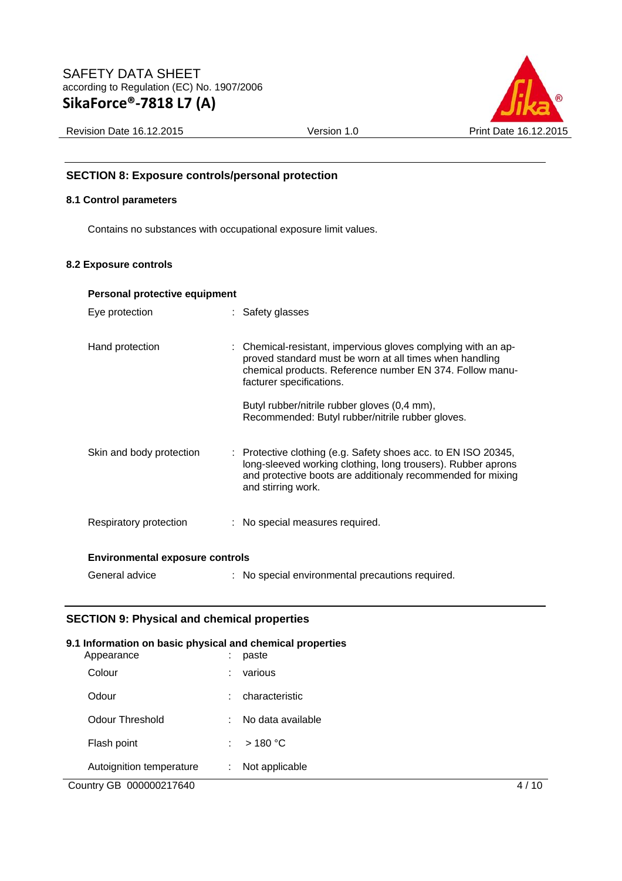

Revision Date 16.12.2015 Version 1.0 Print Date 16.12.2015

# **SECTION 8: Exposure controls/personal protection**

# **8.1 Control parameters**

Contains no substances with occupational exposure limit values.

#### **8.2 Exposure controls**

| Personal protective equipment          |  |                                                                                                                                                                                                                                                                                                                      |  |  |
|----------------------------------------|--|----------------------------------------------------------------------------------------------------------------------------------------------------------------------------------------------------------------------------------------------------------------------------------------------------------------------|--|--|
| Eye protection                         |  | : Safety glasses                                                                                                                                                                                                                                                                                                     |  |  |
| Hand protection                        |  | : Chemical-resistant, impervious gloves complying with an ap-<br>proved standard must be worn at all times when handling<br>chemical products. Reference number EN 374. Follow manu-<br>facturer specifications.<br>Butyl rubber/nitrile rubber gloves (0,4 mm),<br>Recommended: Butyl rubber/nitrile rubber gloves. |  |  |
| Skin and body protection               |  | : Protective clothing (e.g. Safety shoes acc. to EN ISO 20345,<br>long-sleeved working clothing, long trousers). Rubber aprons<br>and protective boots are additionaly recommended for mixing<br>and stirring work.                                                                                                  |  |  |
| Respiratory protection                 |  | : No special measures required.                                                                                                                                                                                                                                                                                      |  |  |
| <b>Environmental exposure controls</b> |  |                                                                                                                                                                                                                                                                                                                      |  |  |
| General advice                         |  | : No special environmental precautions required.                                                                                                                                                                                                                                                                     |  |  |

# **SECTION 9: Physical and chemical properties**

# Country GB 000000217640 4 / 10 **9.1 Information on basic physical and chemical properties**  Appearance : paste Colour : various Odour : characteristic Odour Threshold : No data available Flash point : > 180 °C Autoignition temperature : Not applicable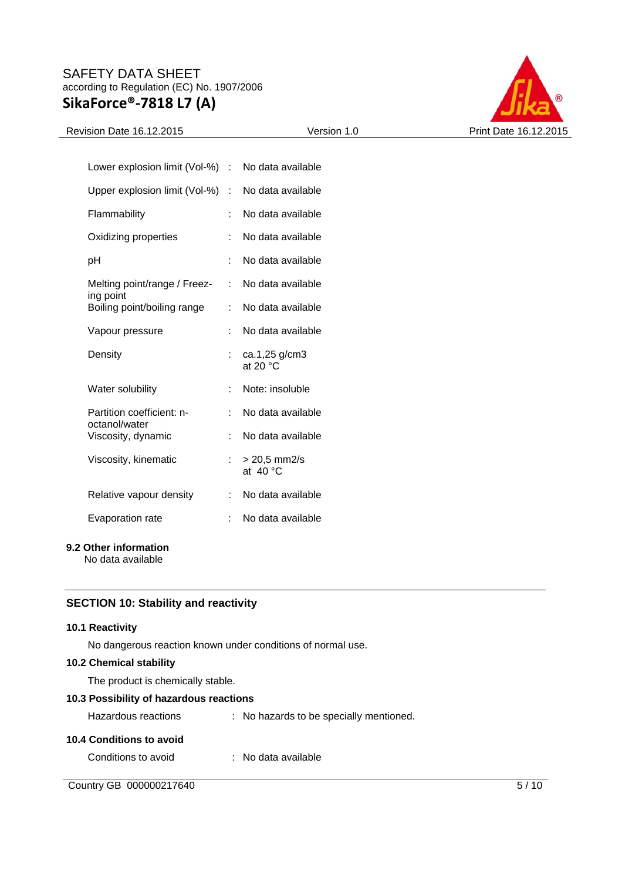

# Revision Date 16.12.2015 Version 1.0 Print Date 16.12.2015

| Lower explosion limit (Vol-%)              | t. | No data available                   |
|--------------------------------------------|----|-------------------------------------|
| Upper explosion limit (Vol-%)              | ÷. | No data available                   |
| Flammability                               | ÷  | No data available                   |
| Oxidizing properties                       | t  | No data available                   |
| рH                                         | t  | No data available                   |
| Melting point/range / Freez-               | t. | No data available                   |
| ing point<br>Boiling point/boiling range   | t  | No data available                   |
| Vapour pressure                            | t  | No data available                   |
| Density                                    |    | ca.1,25 g/cm3<br>at 20 $\degree$ C  |
| Water solubility                           | ÷  | Note: insoluble                     |
| Partition coefficient: n-<br>octanol/water | t  | No data available                   |
| Viscosity, dynamic                         | ÷  | No data available                   |
| Viscosity, kinematic                       |    | $> 20.5$ mm2/s<br>at $40^{\circ}$ C |
| Relative vapour density                    | t. | No data available                   |
| Evaporation rate                           | t  | No data available                   |

### **9.2 Other information**

No data available

# **SECTION 10: Stability and reactivity**

### **10.1 Reactivity**

No dangerous reaction known under conditions of normal use.

# **10.2 Chemical stability**

The product is chemically stable.

# **10.3 Possibility of hazardous reactions**

| Hazardous reactions      | : No hazards to be specially mentioned. |
|--------------------------|-----------------------------------------|
| 10.4 Conditions to avoid |                                         |
| Conditions to avoid      | : No data available                     |

Country GB 000000217640 5/10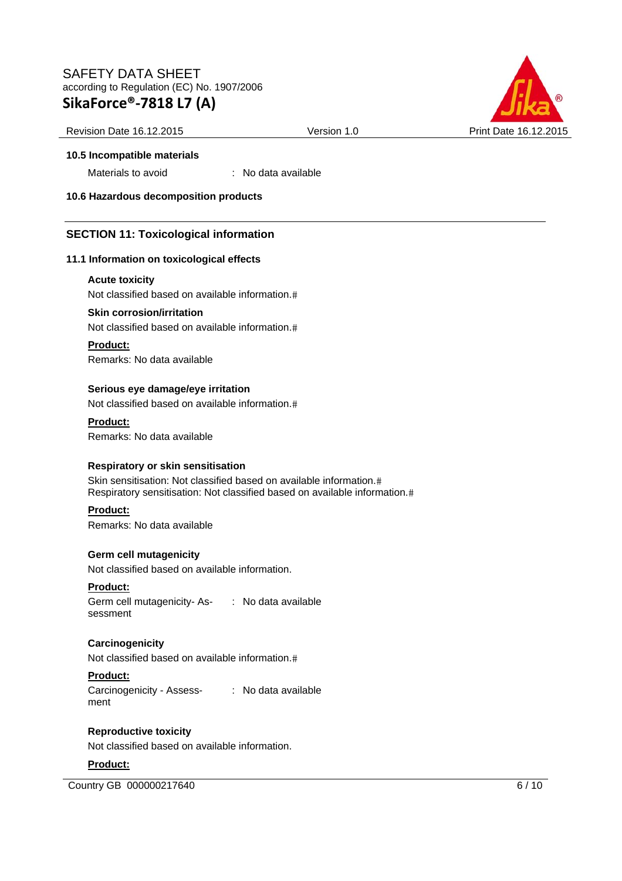

#### Revision Date 16.12.2015 Version 1.0 Print Date 16.12.2015

#### **10.5 Incompatible materials**

Materials to avoid : No data available

**10.6 Hazardous decomposition products** 

# **SECTION 11: Toxicological information**

#### **11.1 Information on toxicological effects**

#### **Acute toxicity**

Not classified based on available information.

#### **Skin corrosion/irritation**

Not classified based on available information.

#### **Product:**

Remarks: No data available

#### **Serious eye damage/eye irritation**

Not classified based on available information.

#### **Product:**

Remarks: No data available

#### **Respiratory or skin sensitisation**

Skin sensitisation: Not classified based on available information. Respiratory sensitisation: Not classified based on available information.

#### **Product:**

Remarks: No data available

# **Germ cell mutagenicity**

Not classified based on available information.

#### **Product:**

Germ cell mutagenicity- As-: No data available sessment

# **Carcinogenicity**

Not classified based on available information.

# **Product:**

Carcinogenicity - Assess-: No data available ment

# **Reproductive toxicity**

Not classified based on available information.

#### **Product:**

Country GB 000000217640 6/10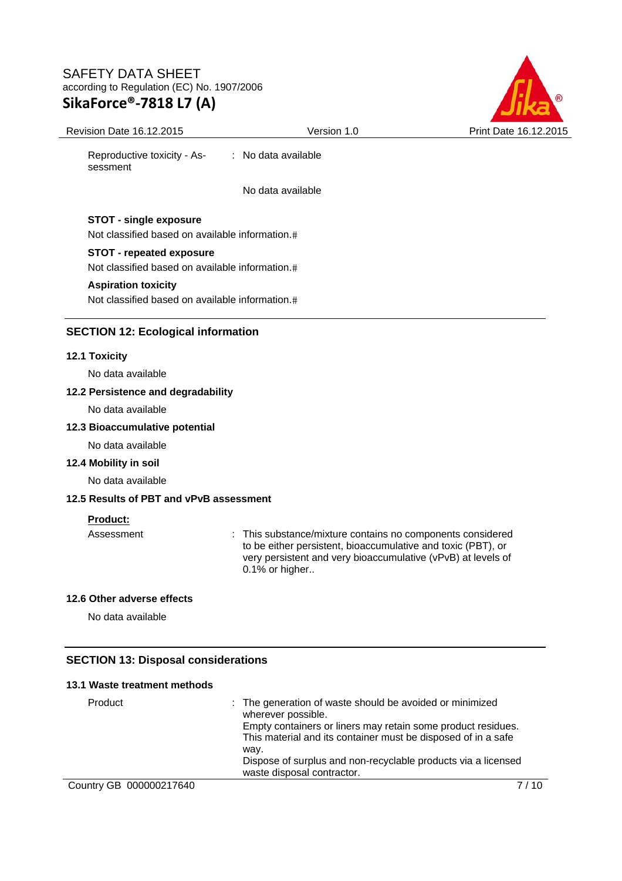

Revision Date 16.12.2015 Version 1.0 Print Date 16.12.2015 Reproductive toxicity - Assessment : No data available No data available **STOT - single exposure** Not classified based on available information. **STOT - repeated exposure** Not classified based on available information.

# **Aspiration toxicity**

Not classified based on available information.

#### **SECTION 12: Ecological information**

#### **12.1 Toxicity**

No data available

#### **12.2 Persistence and degradability**

No data available

#### **12.3 Bioaccumulative potential**

No data available

### **12.4 Mobility in soil**

No data available

# **12.5 Results of PBT and vPvB assessment**

#### **Product:**

Assessment : This substance/mixture contains no components considered to be either persistent, bioaccumulative and toxic (PBT), or very persistent and very bioaccumulative (vPvB) at levels of  $0.1\%$  or higher..

#### **12.6 Other adverse effects**

No data available

#### **SECTION 13: Disposal considerations**

#### **13.1 Waste treatment methods**

| Product | : The generation of waste should be avoided or minimized<br>wherever possible. |
|---------|--------------------------------------------------------------------------------|
|         |                                                                                |
|         | Empty containers or liners may retain some product residues.                   |
|         | This material and its container must be disposed of in a safe                  |
|         | wav.                                                                           |
|         | Dispose of surplus and non-recyclable products via a licensed                  |
|         | waste disposal contractor.                                                     |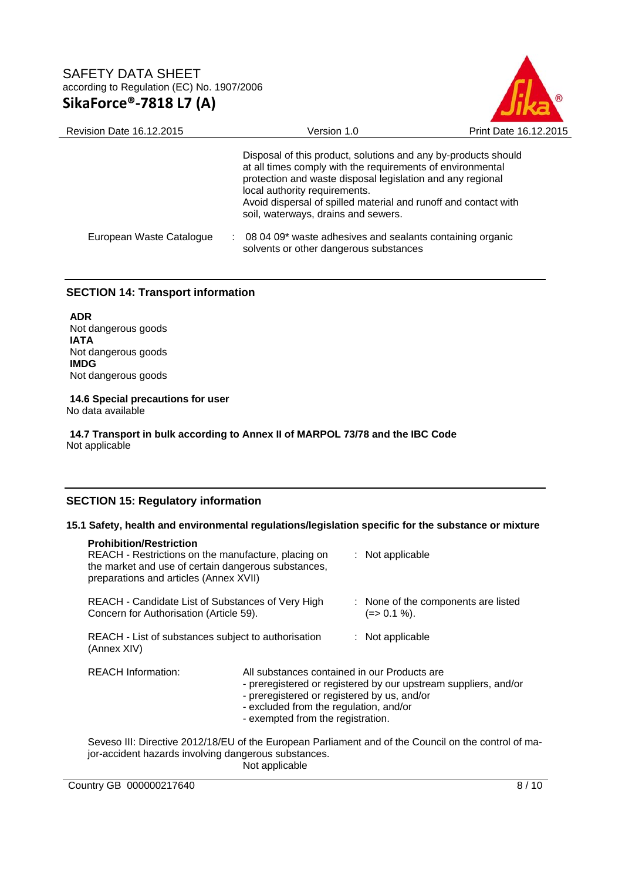

| Revision Date 16.12.2015 | Version 1.0                                                                                                                                                                                                                                                                                                                           | Print Date 16.12.2015 |
|--------------------------|---------------------------------------------------------------------------------------------------------------------------------------------------------------------------------------------------------------------------------------------------------------------------------------------------------------------------------------|-----------------------|
|                          | Disposal of this product, solutions and any by-products should<br>at all times comply with the requirements of environmental<br>protection and waste disposal legislation and any regional<br>local authority requirements.<br>Avoid dispersal of spilled material and runoff and contact with<br>soil, waterways, drains and sewers. |                       |
| European Waste Catalogue | 08 04 09* waste adhesives and sealants containing organic<br>solvents or other dangerous substances                                                                                                                                                                                                                                   |                       |

# **SECTION 14: Transport information**

**ADR**  Not dangerous goods **IATA**  Not dangerous goods **IMDG**  Not dangerous goods

**14.6 Special precautions for user** 

No data available

**14.7 Transport in bulk according to Annex II of MARPOL 73/78 and the IBC Code**  Not applicable

# **SECTION 15: Regulatory information**

#### **15.1 Safety, health and environmental regulations/legislation specific for the substance or mixture**

| <b>Prohibition/Restriction</b><br>REACH - Restrictions on the manufacture, placing on<br>the market and use of certain dangerous substances,<br>preparations and articles (Annex XVII) |                                                                                                                                                                                                                                               |  | $:$ Not applicable                                                                                   |
|----------------------------------------------------------------------------------------------------------------------------------------------------------------------------------------|-----------------------------------------------------------------------------------------------------------------------------------------------------------------------------------------------------------------------------------------------|--|------------------------------------------------------------------------------------------------------|
| REACH - Candidate List of Substances of Very High<br>Concern for Authorisation (Article 59).                                                                                           |                                                                                                                                                                                                                                               |  | : None of the components are listed<br>$(=>0.1\%).$                                                  |
| REACH - List of substances subject to authorisation<br>(Annex XIV)                                                                                                                     |                                                                                                                                                                                                                                               |  | $:$ Not applicable                                                                                   |
| <b>REACH Information:</b>                                                                                                                                                              | All substances contained in our Products are<br>- preregistered or registered by our upstream suppliers, and/or<br>- preregistered or registered by us, and/or<br>- excluded from the regulation, and/or<br>- exempted from the registration. |  |                                                                                                      |
|                                                                                                                                                                                        |                                                                                                                                                                                                                                               |  | Seveso III: Directive 2012/18/EU of the European Parliament and of the Council on the control of ma- |

jor-accident hazards involving dangerous substances. Not applicable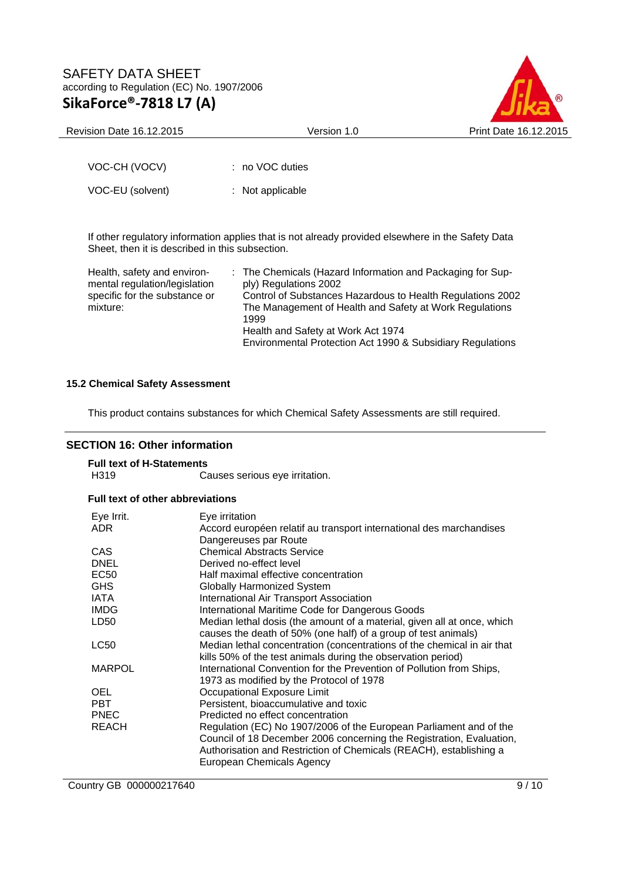

Revision Date 16.12.2015 Version 1.0 Print Date 16.12.2015

VOC-CH (VOCV) : no VOC duties VOC-EU (solvent) : Not applicable

If other regulatory information applies that is not already provided elsewhere in the Safety Data Sheet, then it is described in this subsection.

| Health, safety and environ-   | : The Chemicals (Hazard Information and Packaging for Sup- |
|-------------------------------|------------------------------------------------------------|
| mental regulation/legislation | ply) Regulations 2002                                      |
| specific for the substance or | Control of Substances Hazardous to Health Regulations 2002 |
| mixture:                      | The Management of Health and Safety at Work Regulations    |
|                               | 1999                                                       |
|                               | Health and Safety at Work Act 1974                         |
|                               | Environmental Protection Act 1990 & Subsidiary Regulations |

# **15.2 Chemical Safety Assessment**

This product contains substances for which Chemical Safety Assessments are still required.

# **SECTION 16: Other information**

# **Full text of H-Statements**

Causes serious eye irritation.

# **Full text of other abbreviations**

| Eye Irrit.    | Eye irritation                                                          |
|---------------|-------------------------------------------------------------------------|
| ADR           | Accord européen relatif au transport international des marchandises     |
|               | Dangereuses par Route                                                   |
| CAS           | <b>Chemical Abstracts Service</b>                                       |
| DNEL          | Derived no-effect level                                                 |
| EC50          | Half maximal effective concentration                                    |
| GHS           | Globally Harmonized System                                              |
| IATA          | International Air Transport Association                                 |
| IMDG          | International Maritime Code for Dangerous Goods                         |
| LD50          | Median lethal dosis (the amount of a material, given all at once, which |
|               | causes the death of 50% (one half) of a group of test animals)          |
| LC50          | Median lethal concentration (concentrations of the chemical in air that |
|               | kills 50% of the test animals during the observation period)            |
| <b>MARPOL</b> | International Convention for the Prevention of Pollution from Ships,    |
|               | 1973 as modified by the Protocol of 1978                                |
| OEL           | Occupational Exposure Limit                                             |
| PBT.          | Persistent, bioaccumulative and toxic                                   |
| PNEC          | Predicted no effect concentration                                       |
| REACH         | Regulation (EC) No 1907/2006 of the European Parliament and of the      |
|               | Council of 18 December 2006 concerning the Registration, Evaluation,    |
|               | Authorisation and Restriction of Chemicals (REACH), establishing a      |
|               | European Chemicals Agency                                               |